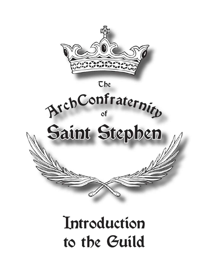

# **Introduction** to the Guild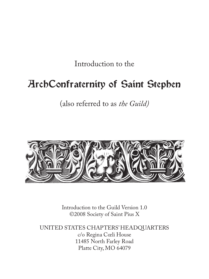Introduction to the

#### ArchConfraternity of Saint Stephen

(also referred to as *the Guild)*



Introduction to the Guild Version 1.0 ©2008 Society of Saint Pius X

UNITED STATES CHAPTERS' HEADQUARTERS c/o Regina Cœli House 11485 North Farley Road Platte City, MO 64079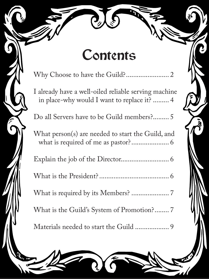## **Contents**

[Why Choose to have the Guild?](#page-3-0)........................ 2

[I already have a well-oiled reliable serving machine](#page-5-0)  [in place-why would I want to replace it?](#page-5-0) ......... 4

[Do all Servers have to be Guild members?](#page-6-0)......... 5

[What person\(s\) are needed to start the Guild, and](#page-7-0)  [what is required of me as pastor?](#page-7-0)..................... 6

[Explain the job of the Director.](#page-7-0).......................... 6

[What is the President?](#page-7-0)....................................... 6

[What is required by its Members?](#page-8-0) ..................... 7

[What is the Guild's System of Promotion?](#page-8-0)........ 7

[Materials needed to start the Guild](#page-10-0) ................... 9

Í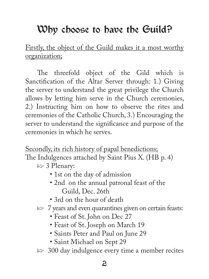#### <span id="page-3-0"></span>Why choose to have the Guild?

Firstly, the object of the Guild makes it a most worthy organization;

The threefold object of the Gild which is Sanctification of the Altar Server through: 1.) Giving the server to understand the great privilege the Church allows by letting him serve in the Church ceremonies, 2.) Instructing him on how to observe the rites and ceremonies of the Catholic Church, 3.) Encouraging the server to understand the significance and purpose of the ceremonies in which he serves.

Secondly, its rich history of papal benedictions;

The Indulgences attached by Saint Pius X. (HB p. 4)

- $\Rightarrow$  3 Plenary:
	- 1st on the day of admission
	- 2nd on the annual patronal feast of the Guild, Dec. 26th
	- 3rd on the hour of death
- $\Rightarrow$  7 years and even quarantines given on certain feasts:
	- Feast of St. John on Dec 27
	- Feast of St. Joseph on March 19
	- Saints Peter and Paul on June 29
	- Saint Michael on Sept 29
- $\approx$  300 day indulgence every time a member recites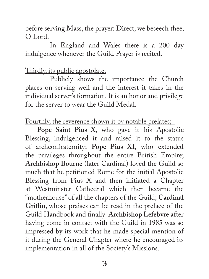before serving Mass, the prayer: Direct, we beseech thee, O Lord.

 In England and Wales there is a 200 day indulgence whenever the Guild Prayer is recited.

#### Thirdly, its public apostolate;

 Publicly shows the importance the Church places on serving well and the interest it takes in the individual server's formation. It is an honor and privilege for the server to wear the Guild Medal.

Fourthly, the reverence shown it by notable prelates;

**Pope Saint Pius X**, who gave it his Apostolic Blessing, indulgenced it and raised it to the status of archconfraternity; **Pope Pius XI**, who extended the privileges throughout the entire British Empire; **Archbishop Bourne** (later Cardinal) loved the Guild so much that he petitioned Rome for the initial Apostolic Blessing from Pius X and then initiated a Chapter at Westminster Cathedral which then became the "motherhouse" of all the chapters of the Guild; **Cardinal Griffin**, whose praises can be read in the preface of the Guild Handbook and finally **Archbishop Lefebvre** after having come in contact with the Guild in 1985 was so impressed by its work that he made special mention of it during the General Chapter where he encouraged its implementation in all of the Society's Missions.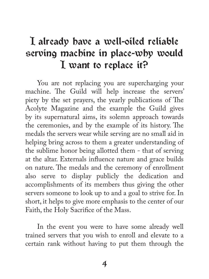#### <span id="page-5-0"></span>I already have a well-oiled reliable serving machine in place-why would I want to replace it?

You are not replacing you are supercharging your machine. The Guild will help increase the servers' piety by the set prayers, the yearly publications of The Acolyte Magazine and the example the Guild gives by its supernatural aims, its solemn approach towards the ceremonies, and by the example of its history. The medals the servers wear while serving are no small aid in helping bring across to them a greater understanding of the sublime honor being allotted them - that of serving at the altar. Externals influence nature and grace builds on nature. The medals and the ceremony of enrollment also serve to display publicly the dedication and accomplishments of its members thus giving the other servers someone to look up to and a goal to strive for. In short, it helps to give more emphasis to the center of our Faith, the Holy Sacrifice of the Mass.

In the event you were to have some already well trained servers that you wish to enroll and elevate to a certain rank without having to put them through the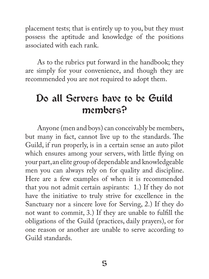<span id="page-6-0"></span>placement tests; that is entirely up to you, but they must possess the aptitude and knowledge of the positions associated with each rank.

As to the rubrics put forward in the handbook; they are simply for your convenience, and though they are recommended you are not required to adopt them.

#### Do all Servers have to be Guild members?

Anyone (men and boys) can conceivably be members, but many in fact, cannot live up to the standards. The Guild, if run properly, is in a certain sense an auto pilot which ensures among your servers, with little flying on your part, an elite group of dependable and knowledgeable men you can always rely on for quality and discipline. Here are a few examples of when it is recommended that you not admit certain aspirants: 1.) If they do not have the initiative to truly strive for excellence in the Sanctuary nor a sincere love for Serving, 2.) If they do not want to commit, 3.) If they are unable to fulfill the obligations of the Guild (practices, daily prayers), or for one reason or another are unable to serve according to Guild standards.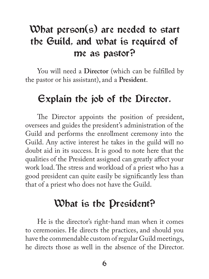#### <span id="page-7-0"></span>What person(s) are needed to start the Guild, and what is required of me as pastor?

You will need a **Director** (which can be fulfilled by the pastor or his assistant), and a **President**.

#### Explain the job of the Director.

The Director appoints the position of president, oversees and guides the president's administration of the Guild and performs the enrollment ceremony into the Guild. Any active interest he takes in the guild will no doubt aid in its success. It is good to note here that the qualities of the President assigned can greatly affect your work load. The stress and workload of a priest who has a good president can quite easily be significantly less than that of a priest who does not have the Guild.

#### What is the President?

He is the director's right-hand man when it comes to ceremonies. He directs the practices, and should you have the commendable custom of regular Guild meetings, he directs those as well in the absence of the Director.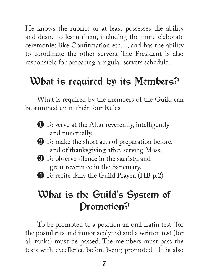<span id="page-8-0"></span>He knows the rubrics or at least possesses the ability and desire to learn them, including the more elaborate ceremonies like Confirmation etc…, and has the ability to coordinate the other servers. The President is also responsible for preparing a regular servers schedule.

#### What is required by its Members?

What is required by the members of the Guild can be summed up in their four Rules:

- ❶ To serve at the Altar reverently, intelligently and punctually.
- ❷ To make the short acts of preparation before, and of thanksgiving after, serving Mass.
- ❸ To observe silence in the sacristy, and great reverence in the Sanctuary.
- ❹ To recite daily the Guild Prayer. (HB p.2)

#### What is the Guild's System of Promotion?

To be promoted to a position an oral Latin test (for the postulants and junior acolytes) and a written test (for all ranks) must be passed. The members must pass the tests with excellence before being promoted. It is also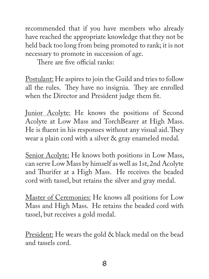recommended that if you have members who already have reached the appropriate knowledge that they not be held back too long from being promoted to rank; it is not necessary to promote in succession of age.

There are five official ranks:

Postulant: He aspires to join the Guild and tries to follow all the rules. They have no insignia. They are enrolled when the Director and President judge them fit.

Junior Acolyte: He knows the positions of Second Acolyte at Low Mass and TorchBearer at High Mass. He is fluent in his responses without any visual aid. They wear a plain cord with a silver & gray enameled medal.

Senior Acolyte: He knows both positions in Low Mass, can serve Low Mass by himself as well as 1st, 2nd Acolyte and Thurifer at a High Mass. He receives the beaded cord with tassel, but retains the silver and gray medal.

Master of Ceremonies: He knows all positions for Low Mass and High Mass. He retains the beaded cord with tassel, but receives a gold medal.

President: He wears the gold & black medal on the bead and tassels cord.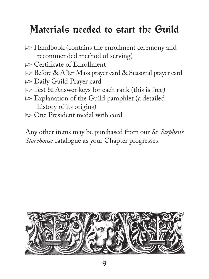### <span id="page-10-0"></span>Materials needed to start the Guild

- $\Rightarrow$  Handbook (contains the enrollment ceremony and recommended method of serving)
- $\Rightarrow$  Certificate of Enrollment
- p Before & After Mass prayer card & Seasonal prayer card
- $\Rightarrow$  Daily Guild Prayer card
- $\Rightarrow$  Test & Answer keys for each rank (this is free)
- $\Rightarrow$  Explanation of the Guild pamphlet (a detailed history of its origins)
- $\Rightarrow$  One President medal with cord

Any other items may be purchased from our *St. Stephen's Storehouse* catalogue as your Chapter progresses.